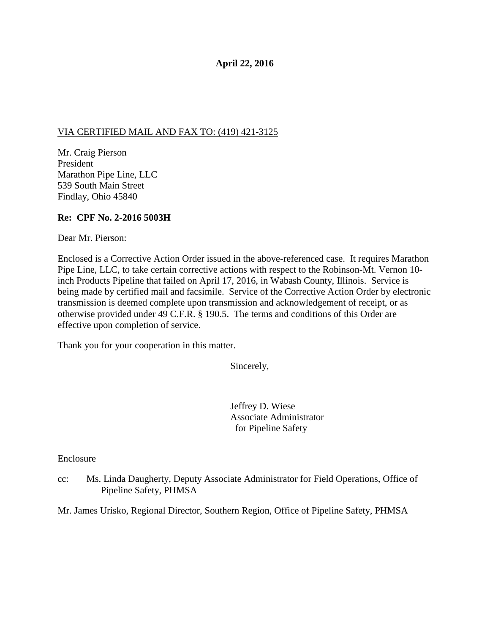## **April 22, 2016**

## VIA CERTIFIED MAIL AND FAX TO: (419) 421-3125

Mr. Craig Pierson President Marathon Pipe Line, LLC 539 South Main Street Findlay, Ohio 45840

## **Re: CPF No. 2-2016 5003H**

Dear Mr. Pierson:

Enclosed is a Corrective Action Order issued in the above-referenced case. It requires Marathon Pipe Line, LLC, to take certain corrective actions with respect to the Robinson-Mt. Vernon 10 inch Products Pipeline that failed on April 17, 2016, in Wabash County, Illinois. Service is being made by certified mail and facsimile. Service of the Corrective Action Order by electronic transmission is deemed complete upon transmission and acknowledgement of receipt, or as otherwise provided under 49 C.F.R. § 190.5. The terms and conditions of this Order are effective upon completion of service.

Thank you for your cooperation in this matter.

Sincerely,

Jeffrey D. Wiese Associate Administrator for Pipeline Safety

Enclosure

cc: Ms. Linda Daugherty, Deputy Associate Administrator for Field Operations, Office of Pipeline Safety, PHMSA

Mr. James Urisko, Regional Director, Southern Region, Office of Pipeline Safety, PHMSA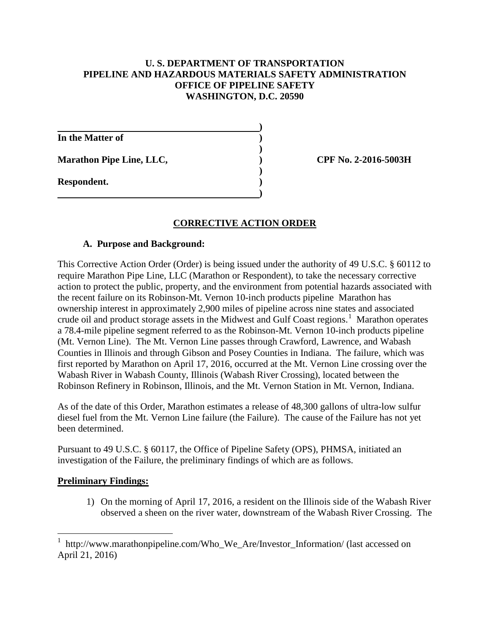## **U. S. DEPARTMENT OF TRANSPORTATION PIPELINE AND HAZARDOUS MATERIALS SAFETY ADMINISTRATION OFFICE OF PIPELINE SAFETY WASHINGTON, D.C. 20590**

**)** 

**)** 

**)** 

**)** 

**In the Matter of )** 

Marathon Pipe Line, LLC,  $\qquad \qquad$  (PF No. 2-2016-5003H)

**Respondent. )** 

## **CORRECTIVE ACTION ORDER**

### **A. Purpose and Background:**

This Corrective Action Order (Order) is being issued under the authority of 49 U.S.C. § 60112 to require Marathon Pipe Line, LLC (Marathon or Respondent), to take the necessary corrective action to protect the public, property, and the environment from potential hazards associated with the recent failure on its Robinson-Mt. Vernon 10-inch products pipeline Marathon has ownership interest in approximately 2,900 miles of pipeline across nine states and associated crude oil and product storage assets in the Midwest and Gulf Coast regions.<sup>1</sup> Marathon operates a 78.4-mile pipeline segment referred to as the Robinson-Mt. Vernon 10-inch products pipeline (Mt. Vernon Line). The Mt. Vernon Line passes through Crawford, Lawrence, and Wabash Counties in Illinois and through Gibson and Posey Counties in Indiana. The failure, which was first reported by Marathon on April 17, 2016, occurred at the Mt. Vernon Line crossing over the Wabash River in Wabash County, Illinois (Wabash River Crossing), located between the Robinson Refinery in Robinson, Illinois, and the Mt. Vernon Station in Mt. Vernon, Indiana.

As of the date of this Order, Marathon estimates a release of 48,300 gallons of ultra-low sulfur diesel fuel from the Mt. Vernon Line failure (the Failure). The cause of the Failure has not yet been determined.

Pursuant to 49 U.S.C. § 60117, the Office of Pipeline Safety (OPS), PHMSA, initiated an investigation of the Failure, the preliminary findings of which are as follows.

### **Preliminary Findings:**

1) On the morning of April 17, 2016, a resident on the Illinois side of the Wabash River observed a sheen on the river water, downstream of the Wabash River Crossing. The

 1 http://www.marathonpipeline.com/Who\_We\_Are/Investor\_Information/ (last accessed on April 21, 2016)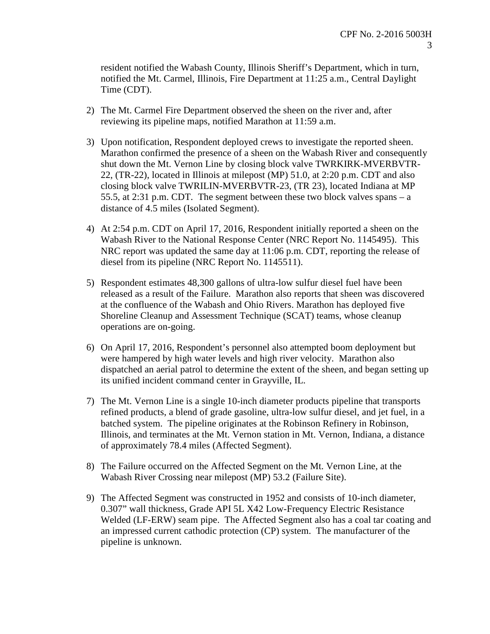resident notified the Wabash County, Illinois Sheriff's Department, which in turn, notified the Mt. Carmel, Illinois, Fire Department at 11:25 a.m., Central Daylight Time (CDT).

- 2) The Mt. Carmel Fire Department observed the sheen on the river and, after reviewing its pipeline maps, notified Marathon at 11:59 a.m.
- 3) Upon notification, Respondent deployed crews to investigate the reported sheen. Marathon confirmed the presence of a sheen on the Wabash River and consequently shut down the Mt. Vernon Line by closing block valve TWRKIRK-MVERBVTR-22, (TR-22), located in Illinois at milepost (MP) 51.0, at 2:20 p.m. CDT and also closing block valve TWRILIN-MVERBVTR-23, (TR 23), located Indiana at MP 55.5, at 2:31 p.m. CDT. The segment between these two block valves spans – a distance of 4.5 miles (Isolated Segment).
- 4) At 2:54 p.m. CDT on April 17, 2016, Respondent initially reported a sheen on the Wabash River to the National Response Center (NRC Report No. 1145495). This NRC report was updated the same day at 11:06 p.m. CDT, reporting the release of diesel from its pipeline (NRC Report No. 1145511).
- 5) Respondent estimates 48,300 gallons of ultra-low sulfur diesel fuel have been released as a result of the Failure. Marathon also reports that sheen was discovered at the confluence of the Wabash and Ohio Rivers. Marathon has deployed five Shoreline Cleanup and Assessment Technique (SCAT) teams, whose cleanup operations are on-going.
- 6) On April 17, 2016, Respondent's personnel also attempted boom deployment but were hampered by high water levels and high river velocity. Marathon also dispatched an aerial patrol to determine the extent of the sheen, and began setting up its unified incident command center in Grayville, IL.
- 7) The Mt. Vernon Line is a single 10-inch diameter products pipeline that transports refined products, a blend of grade gasoline, ultra-low sulfur diesel, and jet fuel, in a batched system. The pipeline originates at the Robinson Refinery in Robinson, Illinois, and terminates at the Mt. Vernon station in Mt. Vernon, Indiana, a distance of approximately 78.4 miles (Affected Segment).
- 8) The Failure occurred on the Affected Segment on the Mt. Vernon Line, at the Wabash River Crossing near milepost (MP) 53.2 (Failure Site).
- 9) The Affected Segment was constructed in 1952 and consists of 10-inch diameter, 0.307" wall thickness, Grade API 5L X42 Low-Frequency Electric Resistance Welded (LF-ERW) seam pipe. The Affected Segment also has a coal tar coating and an impressed current cathodic protection (CP) system. The manufacturer of the pipeline is unknown.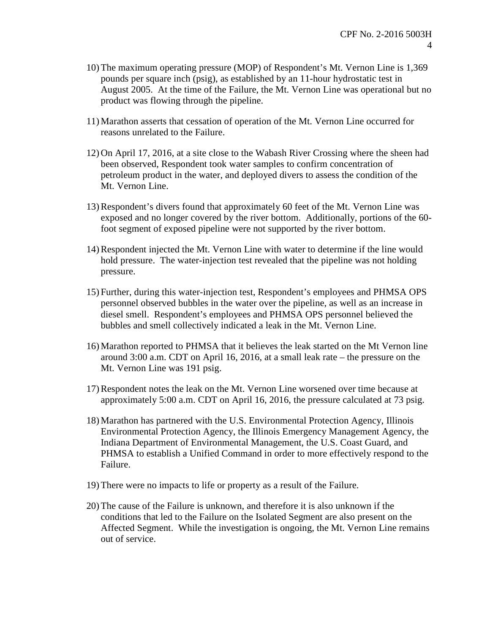- 10) The maximum operating pressure (MOP) of Respondent's Mt. Vernon Line is 1,369 pounds per square inch (psig), as established by an 11-hour hydrostatic test in August 2005. At the time of the Failure, the Mt. Vernon Line was operational but no product was flowing through the pipeline.
- 11) Marathon asserts that cessation of operation of the Mt. Vernon Line occurred for reasons unrelated to the Failure.
- 12) On April 17, 2016, at a site close to the Wabash River Crossing where the sheen had been observed, Respondent took water samples to confirm concentration of petroleum product in the water, and deployed divers to assess the condition of the Mt. Vernon Line.
- 13)Respondent's divers found that approximately 60 feet of the Mt. Vernon Line was exposed and no longer covered by the river bottom. Additionally, portions of the 60 foot segment of exposed pipeline were not supported by the river bottom.
- 14)Respondent injected the Mt. Vernon Line with water to determine if the line would hold pressure. The water-injection test revealed that the pipeline was not holding pressure.
- 15) Further, during this water-injection test, Respondent's employees and PHMSA OPS personnel observed bubbles in the water over the pipeline, as well as an increase in diesel smell. Respondent's employees and PHMSA OPS personnel believed the bubbles and smell collectively indicated a leak in the Mt. Vernon Line.
- 16) Marathon reported to PHMSA that it believes the leak started on the Mt Vernon line around 3:00 a.m. CDT on April 16, 2016, at a small leak rate – the pressure on the Mt. Vernon Line was 191 psig.
- 17)Respondent notes the leak on the Mt. Vernon Line worsened over time because at approximately 5:00 a.m. CDT on April 16, 2016, the pressure calculated at 73 psig.
- 18) Marathon has partnered with the U.S. Environmental Protection Agency, Illinois Environmental Protection Agency, the Illinois Emergency Management Agency, the Indiana Department of Environmental Management, the U.S. Coast Guard, and PHMSA to establish a Unified Command in order to more effectively respond to the Failure.
- 19) There were no impacts to life or property as a result of the Failure.
- 20) The cause of the Failure is unknown, and therefore it is also unknown if the conditions that led to the Failure on the Isolated Segment are also present on the Affected Segment. While the investigation is ongoing, the Mt. Vernon Line remains out of service.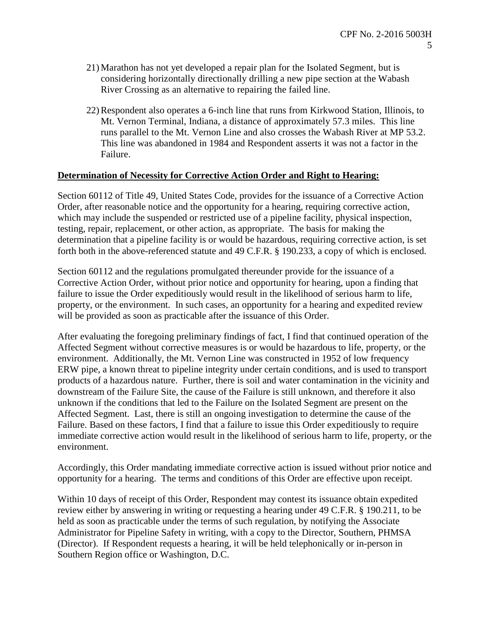- 21) Marathon has not yet developed a repair plan for the Isolated Segment, but is considering horizontally directionally drilling a new pipe section at the Wabash River Crossing as an alternative to repairing the failed line.
- 22)Respondent also operates a 6-inch line that runs from Kirkwood Station, Illinois, to Mt. Vernon Terminal, Indiana, a distance of approximately 57.3 miles. This line runs parallel to the Mt. Vernon Line and also crosses the Wabash River at MP 53.2. This line was abandoned in 1984 and Respondent asserts it was not a factor in the Failure.

#### **Determination of Necessity for Corrective Action Order and Right to Hearing:**

Section 60112 of Title 49, United States Code, provides for the issuance of a Corrective Action Order, after reasonable notice and the opportunity for a hearing, requiring corrective action, which may include the suspended or restricted use of a pipeline facility, physical inspection, testing, repair, replacement, or other action, as appropriate. The basis for making the determination that a pipeline facility is or would be hazardous, requiring corrective action, is set forth both in the above-referenced statute and 49 C.F.R. § 190.233, a copy of which is enclosed.

Section 60112 and the regulations promulgated thereunder provide for the issuance of a Corrective Action Order, without prior notice and opportunity for hearing, upon a finding that failure to issue the Order expeditiously would result in the likelihood of serious harm to life, property, or the environment. In such cases, an opportunity for a hearing and expedited review will be provided as soon as practicable after the issuance of this Order.

After evaluating the foregoing preliminary findings of fact, I find that continued operation of the Affected Segment without corrective measures is or would be hazardous to life, property, or the environment. Additionally, the Mt. Vernon Line was constructed in 1952 of low frequency ERW pipe, a known threat to pipeline integrity under certain conditions, and is used to transport products of a hazardous nature. Further, there is soil and water contamination in the vicinity and downstream of the Failure Site, the cause of the Failure is still unknown, and therefore it also unknown if the conditions that led to the Failure on the Isolated Segment are present on the Affected Segment. Last, there is still an ongoing investigation to determine the cause of the Failure. Based on these factors, I find that a failure to issue this Order expeditiously to require immediate corrective action would result in the likelihood of serious harm to life, property, or the environment.

Accordingly, this Order mandating immediate corrective action is issued without prior notice and opportunity for a hearing. The terms and conditions of this Order are effective upon receipt.

Within 10 days of receipt of this Order, Respondent may contest its issuance obtain expedited review either by answering in writing or requesting a hearing under 49 C.F.R. § 190.211, to be held as soon as practicable under the terms of such regulation, by notifying the Associate Administrator for Pipeline Safety in writing, with a copy to the Director, Southern, PHMSA (Director). If Respondent requests a hearing, it will be held telephonically or in-person in Southern Region office or Washington, D.C.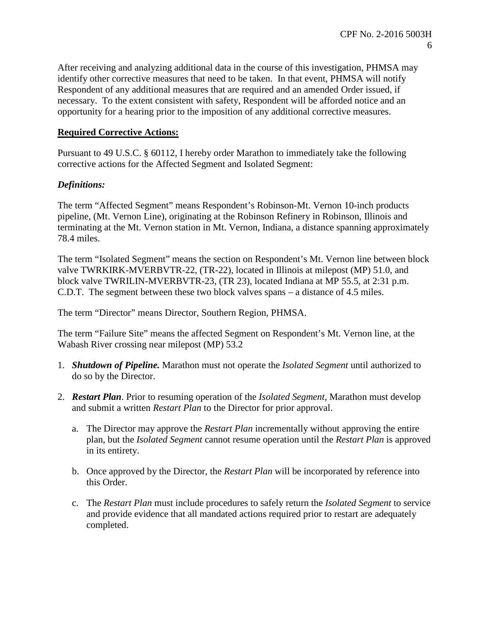After receiving and analyzing additional data in the course of this investigation, PHMSA may identify other corrective measures that need to be taken. In that event, PHMSA will notify Respondent of any additional measures that are required and an amended Order issued, if necessary. To the extent consistent with safety, Respondent will be afforded notice and an opportunity for a hearing prior to the imposition of any additional corrective measures.

# **Required Corrective Actions:**

Pursuant to 49 U.S.C. § 60112, I hereby order Marathon to immediately take the following corrective actions for the Affected Segment and Isolated Segment:

## *Definitions:*

The term "Affected Segment" means Respondent's Robinson-Mt. Vernon 10-inch products pipeline, (Mt. Vernon Line), originating at the Robinson Refinery in Robinson, Illinois and terminating at the Mt. Vernon station in Mt. Vernon, Indiana, a distance spanning approximately 78.4 miles.

The term "Isolated Segment" means the section on Respondent's Mt. Vernon line between block valve TWRKIRK-MVERBVTR-22, (TR-22), located in Illinois at milepost (MP) 51.0, and block valve TWRILIN-MVERBVTR-23, (TR 23), located Indiana at MP 55.5, at 2:31 p.m. C.D.T. The segment between these two block valves spans – a distance of 4.5 miles.

The term "Director" means Director, Southern Region, PHMSA.

The term "Failure Site" means the affected Segment on Respondent's Mt. Vernon line, at the Wabash River crossing near milepost (MP) 53.2

- 1. *Shutdown of Pipeline.* Marathon must not operate the *Isolated Segment* until authorized to do so by the Director.
- 2. *Restart Plan*. Prior to resuming operation of the *Isolated Segment,* Marathon must develop and submit a written *Restart Plan* to the Director for prior approval.
	- a. The Director may approve the *Restart Plan* incrementally without approving the entire plan, but the *Isolated Segment* cannot resume operation until the *Restart Plan* is approved in its entirety.
	- b. Once approved by the Director, the *Restart Plan* will be incorporated by reference into this Order.
	- c. The *Restart Plan* must include procedures to safely return the *Isolated Segment* to service and provide evidence that all mandated actions required prior to restart are adequately completed.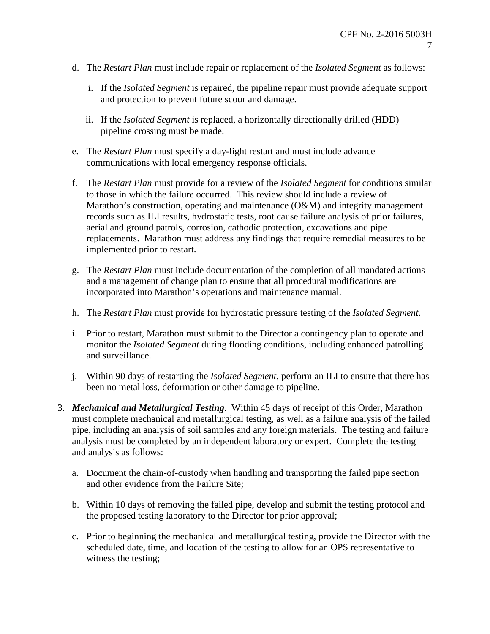- d. The *Restart Plan* must include repair or replacement of the *Isolated Segment* as follows:
	- i. If the *Isolated Segment* is repaired, the pipeline repair must provide adequate support and protection to prevent future scour and damage.
	- ii. If the *Isolated Segment* is replaced, a horizontally directionally drilled (HDD) pipeline crossing must be made.
- e. The *Restart Plan* must specify a day-light restart and must include advance communications with local emergency response officials.
- f. The *Restart Plan* must provide for a review of the *Isolated Segment* for conditions similar to those in which the failure occurred. This review should include a review of Marathon's construction, operating and maintenance (O&M) and integrity management records such as ILI results, hydrostatic tests, root cause failure analysis of prior failures, aerial and ground patrols, corrosion, cathodic protection, excavations and pipe replacements. Marathon must address any findings that require remedial measures to be implemented prior to restart.
- g. The *Restart Plan* must include documentation of the completion of all mandated actions and a management of change plan to ensure that all procedural modifications are incorporated into Marathon's operations and maintenance manual.
- h. The *Restart Plan* must provide for hydrostatic pressure testing of the *Isolated Segment.*
- i. Prior to restart, Marathon must submit to the Director a contingency plan to operate and monitor the *Isolated Segment* during flooding conditions, including enhanced patrolling and surveillance.
- j. Within 90 days of restarting the *Isolated Segment*, perform an ILI to ensure that there has been no metal loss, deformation or other damage to pipeline.
- 3. *Mechanical and Metallurgical Testing*. Within 45 days of receipt of this Order, Marathon must complete mechanical and metallurgical testing, as well as a failure analysis of the failed pipe, including an analysis of soil samples and any foreign materials. The testing and failure analysis must be completed by an independent laboratory or expert. Complete the testing and analysis as follows:
	- a. Document the chain-of-custody when handling and transporting the failed pipe section and other evidence from the Failure Site;
	- b. Within 10 days of removing the failed pipe, develop and submit the testing protocol and the proposed testing laboratory to the Director for prior approval;
	- c. Prior to beginning the mechanical and metallurgical testing, provide the Director with the scheduled date, time, and location of the testing to allow for an OPS representative to witness the testing;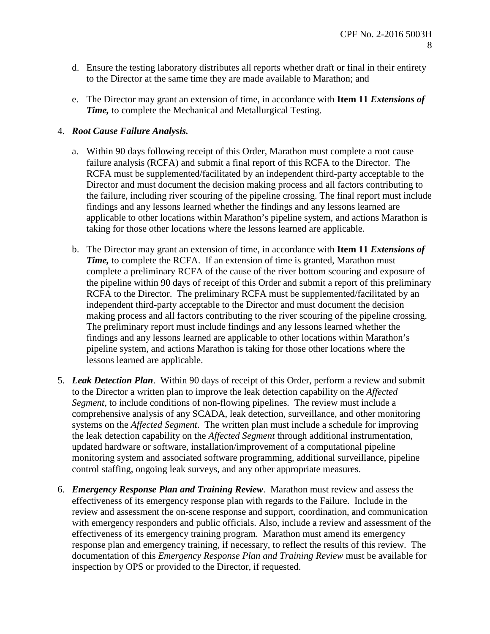- d. Ensure the testing laboratory distributes all reports whether draft or final in their entirety to the Director at the same time they are made available to Marathon; and
- e. The Director may grant an extension of time, in accordance with **Item 11** *Extensions of Time,* to complete the Mechanical and Metallurgical Testing.

## 4. *Root Cause Failure Analysis.*

- a. Within 90 days following receipt of this Order, Marathon must complete a root cause failure analysis (RCFA) and submit a final report of this RCFA to the Director. The RCFA must be supplemented/facilitated by an independent third-party acceptable to the Director and must document the decision making process and all factors contributing to the failure, including river scouring of the pipeline crossing. The final report must include findings and any lessons learned whether the findings and any lessons learned are applicable to other locations within Marathon's pipeline system, and actions Marathon is taking for those other locations where the lessons learned are applicable.
- b. The Director may grant an extension of time, in accordance with **Item 11** *Extensions of Time,* to complete the RCFA. If an extension of time is granted, Marathon must complete a preliminary RCFA of the cause of the river bottom scouring and exposure of the pipeline within 90 days of receipt of this Order and submit a report of this preliminary RCFA to the Director. The preliminary RCFA must be supplemented/facilitated by an independent third-party acceptable to the Director and must document the decision making process and all factors contributing to the river scouring of the pipeline crossing. The preliminary report must include findings and any lessons learned whether the findings and any lessons learned are applicable to other locations within Marathon's pipeline system, and actions Marathon is taking for those other locations where the lessons learned are applicable.
- 5. *Leak Detection Plan*. Within 90 days of receipt of this Order, perform a review and submit to the Director a written plan to improve the leak detection capability on the *Affected Segment,* to include conditions of non-flowing pipelines*.* The review must include a comprehensive analysis of any SCADA, leak detection, surveillance, and other monitoring systems on the *Affected Segment*. The written plan must include a schedule for improving the leak detection capability on the *Affected Segment* through additional instrumentation, updated hardware or software, installation/improvement of a computational pipeline monitoring system and associated software programming, additional surveillance, pipeline control staffing, ongoing leak surveys, and any other appropriate measures.
- 6. *Emergency Response Plan and Training Review*. Marathon must review and assess the effectiveness of its emergency response plan with regards to the Failure. Include in the review and assessment the on-scene response and support, coordination, and communication with emergency responders and public officials. Also, include a review and assessment of the effectiveness of its emergency training program. Marathon must amend its emergency response plan and emergency training, if necessary, to reflect the results of this review. The documentation of this *Emergency Response Plan and Training Review* must be available for inspection by OPS or provided to the Director, if requested.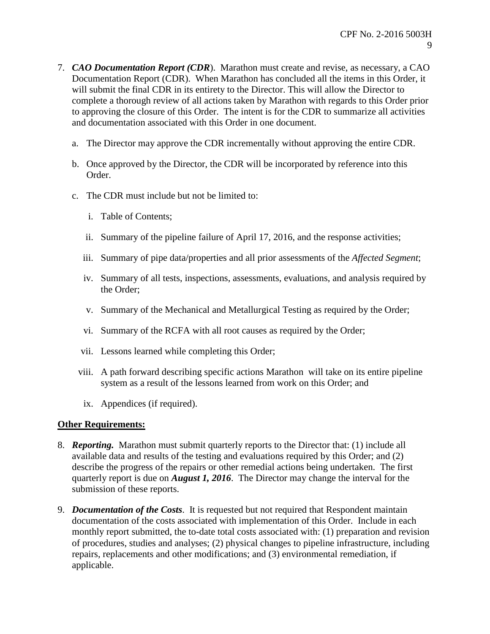- 7. *CAO Documentation Report (CDR*). Marathon must create and revise, as necessary, a CAO Documentation Report (CDR). When Marathon has concluded all the items in this Order, it will submit the final CDR in its entirety to the Director. This will allow the Director to complete a thorough review of all actions taken by Marathon with regards to this Order prior to approving the closure of this Order. The intent is for the CDR to summarize all activities and documentation associated with this Order in one document.
	- a. The Director may approve the CDR incrementally without approving the entire CDR.
	- b. Once approved by the Director, the CDR will be incorporated by reference into this Order.
	- c. The CDR must include but not be limited to:
		- i. Table of Contents;
		- ii. Summary of the pipeline failure of April 17, 2016, and the response activities;
		- iii. Summary of pipe data/properties and all prior assessments of the *Affected Segment*;
		- iv. Summary of all tests, inspections, assessments, evaluations, and analysis required by the Order;
		- v. Summary of the Mechanical and Metallurgical Testing as required by the Order;
		- vi. Summary of the RCFA with all root causes as required by the Order;
		- vii. Lessons learned while completing this Order;
		- viii. A path forward describing specific actions Marathon will take on its entire pipeline system as a result of the lessons learned from work on this Order; and
		- ix. Appendices (if required).

### **Other Requirements:**

- 8. *Reporting.* Marathon must submit quarterly reports to the Director that: (1) include all available data and results of the testing and evaluations required by this Order; and (2) describe the progress of the repairs or other remedial actions being undertaken. The first quarterly report is due on *August 1, 2016*. The Director may change the interval for the submission of these reports.
- 9. *Documentation of the Costs*. It is requested but not required that Respondent maintain documentation of the costs associated with implementation of this Order. Include in each monthly report submitted, the to-date total costs associated with: (1) preparation and revision of procedures, studies and analyses; (2) physical changes to pipeline infrastructure, including repairs, replacements and other modifications; and (3) environmental remediation, if applicable.